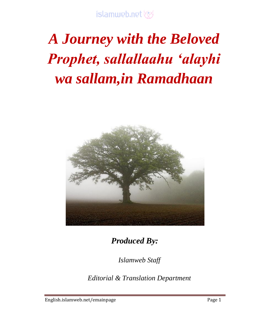# *A Journey with the Beloved Prophet, sallallaahu 'alayhi wa sallam,in Ramadhaan*



*Produced By:*

*Islamweb Staff*

*Editorial & Translation Department*

English.islamweb.net/emainpage example and the Page 1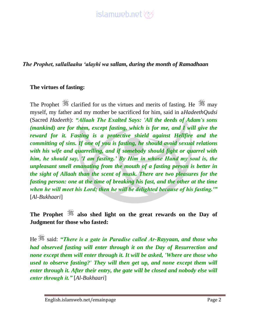

*The Prophet, sallallaahu 'alayhi wa sallam, during the month of Ramadhaan*

#### **The virtues of fasting:**

The Prophet  $\frac{36}{25}$  clarified for us the virtues and merits of fasting. He  $\frac{36}{25}$  may myself, my father and my mother be sacrificed for him, said in a*HadeethQudsi* (Sacred *Hadeeth*): *"Allaah The Exalted Says: 'All the deeds of Adam's sons (mankind) are for them, except fasting, which is for me, and I will give the reward for it. Fasting is a protective shield against Hellfire and the committing of sins. If one of you is fasting, he should avoid sexual relations with his wife and quarrelling, and if somebody should fight or quarrel with him, he should say, 'I am fasting.' By Him in whose Hand my soul is, the unpleasant smell emanating from the mouth of a fasting person is better in the sight of Allaah than the scent of musk. There are two pleasures for the fasting person: one at the time of breaking his fast, and the other at the time when he will meet his Lord; then he will be delighted because of his fasting.'"* [*Al-Bukhaari*]

**The Prophet also shed light on the great rewards on the Day of Judgment for those who fasted:**

He  $\frac{365}{25}$  said: *"There is a gate in Paradise called Ar-Rayyaan, and those who had observed fasting will enter through it on the Day of Resurrection and none except them will enter through it. It will be asked, 'Where are those who used to observe fasting?' They will then get up, and none except them will enter through it. After their entry, the gate will be closed and nobody else will enter through it."* [*Al-Bukhaari*]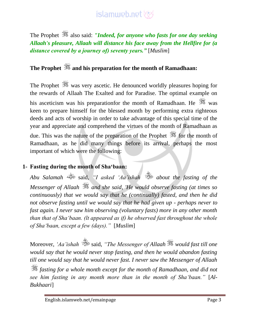The Prophet  $\mathcal{F}$  also said: *"Indeed, for anyone who fasts for one day seeking Allaah's pleasure, Allaah will distance his face away from the Hellfire for (a distance covered by a journey of) seventy years."* [*Muslim*]

### **The Prophet and his preparation for the month of Ramadhaan:**

The Prophet was very ascetic. He denounced worldly pleasures hoping for the rewards of Allaah The Exalted and for Paradise. The optimal example on his asceticism was his preparationfor the month of Ramadhaan. He was keen to prepare himself for the blessed month by performing extra righteous deeds and acts of worship in order to take advantage of this special time of the year and appreciate and comprehend the virtues of the month of Ramadhaan as due. This was the nature of the preparation of the Prophet  $\frac{1}{20}$  for the month of Ramadhaan, as he did many things before its arrival, perhaps the most important of which were the following:

#### **1- Fasting during the month of Sha'baan:**

*Abu Salamah* said, *"I asked 'Aa'ishah about the fasting of the Messenger of Allaah and she said, 'He would observe fasting (at times so continuously) that we would say that he (continually) fasted, and then he did not observe fasting until we would say that he had given up - perhaps never to fast again. I never saw him observing (voluntary fasts) more in any other month than that of Sha'baan. (lt appeared as if) he observed fast throughout the whole of Sha'baan, except a few (days)."* [*Muslim*]

Moreover, *'Aa'ishah* said, *"The Messenger of Allaah* is would fast till one *would say that he would never stop fasting, and then he would abandon fasting till one would say that he would never fast. I never saw the Messenger of Allaah fasting for a whole month except for the month of Ramadhaan, and did not see him fasting in any month more than in the month of Sha'baan."* [*Al-Bukhaari*]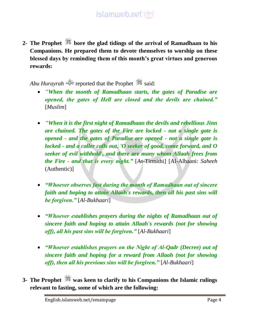**2- The Prophet bore the glad tidings of the arrival of Ramadhaan to his Companions. He prepared them to devote themselves to worship on these blessed days by reminding them of this month's great virtues and generous rewards:**

*Abu Hurayrah* reported that the Prophet said:

- *"When the month of Ramadhaan starts, the gates of Paradise are opened, the gates of Hell are closed and the devils are chained."* [*Muslim*]
- *"When it is the first night of Ramadhaan the devils and rebellious Jinn are chained. The gates of the Fire are locked - not a single gate is opened - and the gates of Paradise are opened - not a single gate is locked - and a caller calls out, 'O seeker of good, come forward, and O seeker of evil withhold', and there are many whom Allaah frees from the Fire - and that is every night."* [At-Tirmithi] [Al-Albaani: *Saheeh* (Authentic)]
- *"Whoever observes fast during the month of Ramadhaan out of sincere faith and hoping to attain Allaah's rewards, then all his past sins will be forgiven."* [*Al-Bukhaari*]
- *"Whoever establishes prayers during the nights of Ramadhaan out of sincere faith and hoping to attain Allaah's rewards (not for showing off), all his past sins will be forgiven."* [*Al-Bukhaari*]
- *"Whoever establishes prayers on the Night of Al-Qadr (Decree) out of sincere faith and hoping for a reward from Allaah (not for showing off), then all his previous sins will be forgiven."* [*Al-Bukhaari*]
- **3- The Prophet was keen to clarify to his Companions the Islamic rulings relevant to fasting, some of which are the following:**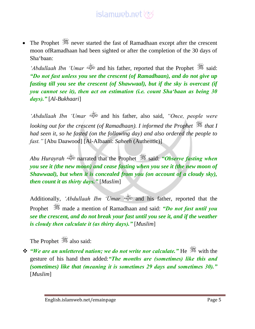The Prophet **started** the fast of Ramadhaan except after the crescent moon ofRamadhaan had been sighted or after the completion of the 30 days of Sha'baan:

*'Abdullaah Ibn 'Umar* and his father, reported that the Prophet  $\frac{366}{25}$  said: *"Do not fast unless you see the crescent (of Ramadhaan), and do not give up fasting till you see the crescent (of Shawwaal), but if the sky is overcast (if you cannot see it), then act on estimation (i.e. count Sha'baan as being 30 days)."* [*Al-Bukhaari*]

*'Abdullaah Ibn 'Umar* and his father, also said, *"Once, people were looking out for the crescent (of Ramadhaan). I informed the Prophet*  $\frac{dS}{dx}$  that I *had seen it, so he fasted (on the following day) and also ordered the people to fast."* [Abu Daawood] [Al-Albaani: *Saheeh* (Authentic)]

*Abu Hurayrah* narrated that the Prophet said: *"Observe fasting when you see it (the new moon) and cease fasting when you see it (the new moon of Shawwaal), but when it is concealed from you (on account of a cloudy sky), then count it as thirty days."* [*Muslim*]

Additionally, *'Abdullaah Ibn 'Umar* and his father, reported that the Prophet made a mention of Ramadhaan and said: *"Do not fast until you see the crescent, and do not break your fast until you see it, and if the weather is cloudy then calculate it (as thirty days)."* [*Muslim*]

The Prophet  $\frac{36}{36}$  also said:

**\*** *"We are an unlettered nation; we do not write nor calculate.*" He <sup>‰</sup> with the gesture of his hand then added:*"The months are (sometimes) like this and (sometimes) like that (meaning it is sometimes 29 days and sometimes 30)."* [*Muslim*]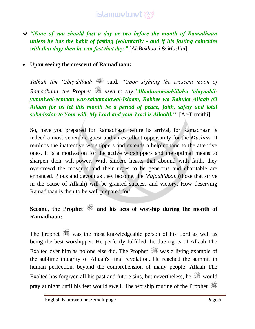*"None of you should fast a day or two before the month of Ramadhaan unless he has the habit of fasting (voluntarily - and if his fasting coincides with that day) then he can fast that day."* [*Al-Bukhaari* & *Muslim*]

#### **Upon seeing the crescent of Ramadhaan:**

*Talhah Ibn 'Ubaydillaah* said, *"Upon sighting the crescent moon of Ramadhaan, the Prophet used to say:'Allaahummaahillahu 'alaynabilyumniwal-eemaan was-salaamatawal-Islaam, Rabbee wa Rabuka Allaah (O Allaah for us let this month be a period of peace, faith, safety and total submission to Your will. My Lord and your Lord is Allaah].'"* [At-Tirmithi]

So, have you prepared for Ramadhaan before its arrival, for Ramadhaan is indeed a most venerable guest and an excellent opportunity for the *Muslim*s. It reminds the inattentive worshippers and extends a helpinghand to the attentive ones. It is a motivation for the active worshippers and the optimal means to sharpen their will-power. With sincere hearts that abound with faith, they overcrowd the mosques and their urges to be generous and charitable are enhanced. Pious and devout as they become, the *Mujaahidoon* (those that strive in the cause of Allaah) will be granted success and victory. How deserving Ramadhaan is then to be well prepared for!

### **Second, the Prophet and his acts of worship during the month of Ramadhaan:**

The Prophet was the most knowledgeable person of his Lord as well as being the best worshipper. He perfectly fulfilled the due rights of Allaah The Exalted over him as no one else did. The Prophet  $\frac{36}{25}$  was a living example of the sublime integrity of Allaah's final revelation. He reached the summit in human perfection, beyond the comprehension of many people. Allaah The Exalted has forgiven all his past and future sins, but nevertheless, he would pray at night until his feet would swell. The worship routine of the Prophet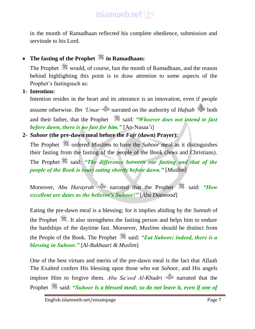in the month of Ramadhaan reflected his complete obedience, submission and servitude to his Lord.

### **The fasting of the Prophet in Ramadhaan:**

The Prophet would, of course, fast the month of Ramadhaan, and the reason behind highlighting this point is to draw attention to some aspects of the Prophet's fastingsuch as:

#### **1- Intention:**

Intention resides in the heart and its utterance is an innovation, even if people assume otherwise. *Ibn 'Umar* narrated on the authority of *Hafsah* both and their father, that the Prophet **said:** *"Whoever does not intend to fast before dawn, there is no fast for him."* [An-Nasaa'i]

#### **2-** *Suhoor* **(the pre-dawn meal before the** *Fajr* **(dawn) Prayer):**

The Prophet  $\frac{1}{200}$  ordered *Muslims* to have the *Suhoor* meal as it distinguishes their fasting from the fasting of the people of the Book (Jews and Christians).

The Prophet  $\frac{dS}{dx}$  said: *"The difference between our fasting and that of the people of the Book is (our) eating shortly before dawn."* [*Muslim*]

Moreover, *Abu Hurayrah* said: *"How* narrated that the Prophet said: "How *excellent are dates as the believer's Suhoor!"* [*Abu Daawood*]

Eating the pre-dawn meal is a blessing; for it implies abiding by the *Sunnah* of the Prophet  $\mathcal{H}$ . It also strengthens the fasting person and helps him to endure the hardships of the daytime fast. Moroever, *Muslim*s should be distinct from the People of the Book. The Prophet <sup>35</sup> said: *"Eat Suhoor; indeed, there is a blessing in Suhoor."* [*Al-Bukhaari & Muslim*]

One of the best virtues and merits of the pre-dawn meal is the fact that Allaah The Exalted confers His blessing upon those who eat *Suhoor*, and His angels implore Him to forgive them. *Abu Sa'eed Al-Khudri* narrated that the Prophet  $\mathscr{F}$  said: *"Suhoor* is a blessed meal; so do not leave it, even if one of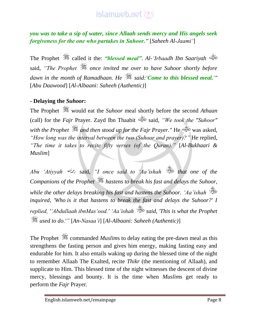*you was to take a sip of water, since Allaah sends mercy and His angels seek forgiveness for the one who partakes in Suhoor."* [*Saheeh Al-Jaami'*]

The Prophet  $\mathcal{F}$  called it the: *"blessed meal"*. *Al-'Irbaadh Ibn Saariyah* said, *"The Prophet once invited me over to have Suhoor shortly before dawn in the month of Ramadhaan. He said:'Come to this blessed meal.'"* [*Abu Daawood*] [*Al-Albaani: Saheeh (Authentic)*]

#### **- Delaying the** *Suhoor***:**

The Prophet  $\frac{360}{250}$  would eat the *Suhoor* meal shortly before the second *Athaan* (call) for the *Fajr* Prayer. Zayd Ibn Thaabit said, *"We took the "Suhoor" with the Prophet and then stood up for the Fajr Prayer."* He was asked, *"How long was the interval between the two (Suhoor and prayer)?"* He replied, *"The time it takes to recite fifty verses (of the Quran)."* [*Al-Bukhaari & Muslim*]

*Abu 'Atiyyah* said, *"I once said to 'Aa'ishah that one of the Companions of the Prophet hastens to break his fast and delays the Suhoor, while the other delays breaking his fast and hastens the Suhoor. 'Aa'ishah inquired, 'Who is it that hastens to break the fast and delays the Suhoor?' I replied, ''Abdullaah ibnMas'ood.' 'Aa'ishah said, 'This is what the Prophet used to do.'"* [*An-Nasaa'i*] [*Al-Albaani: Saheeh (Authentic)*]

The Prophet  $\frac{360}{25}$  commanded *Muslims* to delay eating the pre-dawn meal as this strengthens the fasting person and gives him energy, making fasting easy and endurable for him. It also entails waking up during the blessed time of the night to remember Allaah The Exalted, recite *Thikr* (the mentioning of Allaah), and supplicate to Him. This blessed time of the night witnesses the descent of divine mercy, blessings and bounty. It is the time when *Muslim*s get ready to perform the *Fajr* Prayer.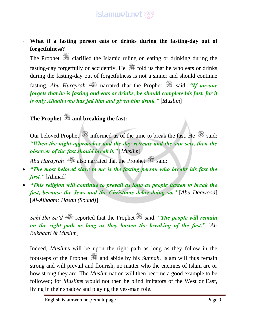- **What if a fasting person eats or drinks during the fasting-day out of forgetfulness?**

The Prophet  $\frac{1}{2}$  clarified the Islamic ruling on eating or drinking during the fasting-day forgetfully or accidently. He  $\frac{360}{100}$  told us that he who eats or drinks during the fasting-day out of forgetfulness is not a sinner and should continue fasting. *Abu Hurayrah* narrated that the Prophet said: *"If anyone forgets that he is fasting and eats or drinks, he should complete his fast, for it is only Allaah who has fed him and given him drink."* [*Muslim*]

- **The Prophet and breaking the fast:**

Our beloved Prophet  $\frac{360}{100}$  informed us of the time to break the fast. He  $\frac{360}{100}$  said: *"When the night approaches and the day retreats and the sun sets, then the observer of the fast should break it."* [*Muslim*]

*Abu Hurayrah* also narrated that the Prophet said:

- *"The most beloved slave to me is the fasting person who breaks his fast the first."* [Ahmad]
- *"This religion will continue to prevail as long as people hasten to break the fast, because the Jews and the Christians delay doing so."* [*Abu Daawood*] [*Al-Albaani: Hasan (Sound)*]

*Sahl Ibn Sa'd* reported that the Prophet said: *"The people will remain on the right path as long as they hasten the breaking of the fast."* [*Al-Bukhaari & Muslim*]

Indeed, *Muslim*s will be upon the right path as long as they follow in the footsteps of the Prophet  $\frac{360}{100}$  and abide by his *Sunnah*. Islam will thus remain strong and will prevail and flourish, no matter who the enemies of Islam are or how strong they are. The *Muslim* nation will then become a good example to be followed; for *Muslim*s would not then be blind imitators of the West or East, living in their shadow and playing the yes-man role.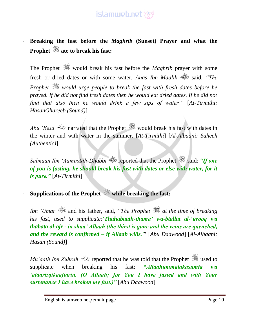### - **Breaking the fast before the** *Maghrib* **(Sunset) Prayer and what the Prophet ate to break his fast:**

The Prophet would break his fast before the *Maghrib* prayer with some fresh or dried dates or with some water. *Anas Ibn Maalik* said, *"The Prophet would urge people to break the fast with fresh dates before he prayed. If he did not find fresh dates then he would eat dried dates. If he did not find that also then he would drink a few sips of water."* [*At-Tirmithi: HasanGhareeb (Sound)*]

*Abu 'Eesa* narrated that the Prophet would break his fast with dates in the winter and with water in the summer. [*At-Tirmithi*] [*Al-Albaani: Saheeh (Authentic)*]

*Salmaan Ibn 'AamirAdh-Dhabbi* reported that the Prophet said: *"If one of you is fasting, he should break his fast with dates or else with water, for it is pure."* [*At-Tirmithi*]

### - **Supplications of the Prophet while breaking the fast:**

*Ibn 'Umar* and his father, said, *"The Prophet at the time of breaking his fast, used to supplicate:'Thahabaath-thama' wa-btallat al-'urooq wa thabata al-ajr - in shaa' Allaah (the thirst is gone and the veins are quenched, and the reward is confirmed – if Allaah wills.'*" [*Abu Daawood*] [*Al-Albaani: Hasan (Sound)*]

*Mu'aath Ibn Zuhrah reported that he was told that the Prophet* used to supplicate when breaking his fast: *"Allaahummalakasumta wa 'alaarizqikaaftartu. (O Allaah; for You I have fasted and with Your sustenance I have broken my fast.)"* [*Abu Daawood*]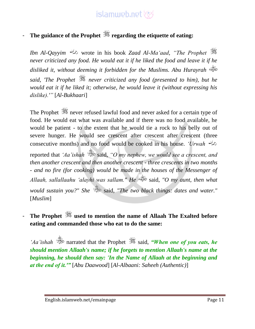### - **The guidance of the Prophet regarding the etiquette of eating:**

*Ibn Al-Qayyim* wrote in his book *Zaad Al-Ma'aad*, *"The Prophet never criticized any food. He would eat it if he liked the food and leave it if he disliked it, without deeming it forbidden for the Muslims. Abu Hurayrah said, 'The Prophet never criticized any food (presented to him), but he would eat it if he liked it; otherwise, he would leave it (without expressing his dislike).'"* [*Al-Bukhaari*]

The Prophet  $\frac{1}{200}$  never refused lawful food and never asked for a certain type of food. He would eat what was available and if there was no food available, he would be patient - to the extent that he would tie a rock to his belly out of severe hunger. He would see crescent after crescent after crescent (three consecutive months) and no food would be cooked in his house. *'Urwah* reported that *'Aa'ishah* said, "O my nephew, we would see a crescent, and *then another crescent and then another crescent - three crescents in two months - and no fire (for cooking) would be made in the houses of the Messenger of Allaah, sallallaahu 'alayhi was sallam." He* said, *"O my aunt, then what would sustain you?" She* said, *"The two black things: dates and water."* [*Muslim*]

#### - **The Prophet used to mention the name of Allaah The Exalted before eating and commanded those who eat to do the same:**

*'Aa'ishah*  $\ddot{\otimes}$  narrated that the Prophet  $\ddot{\ddot{\otimes}}$  said, *"When one of you eats, he should mention Allaah's name; if he forgets to mention Allaah's name at the beginning, he should then say: 'In the Name of Allaah at the beginning and at the end of it.'"* [*Abu Daawood*] [*Al-Albaani: Saheeh (Authentic)*]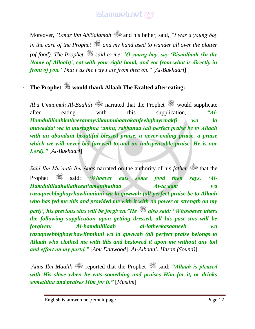Moreover, *'Umar Ibn AbiSalamah* and his father, said, *"I was a young boy in the care of the Prophet*  $\frac{1}{2}$  *and my hand used to wander all over the platter (of food). The Prophet said to me: 'O young boy, say 'Bismillaah (In the Name of Allaah)', eat with your right hand, and eat from what is directly in front of you.' That was the way I ate from then on."* [*Al-Bukhaari*]

### - **The Prophet would thank Allaah The Exalted after eating:**

*Abu Umaamah Al-Baahili* narrated that the Prophet would supplicate after eating with this supplication, *"Al-Hamdulillaahkatheerantayyibanmubaarakanfeehghayrmakfi wa la muwadda' wa la mustaghna 'anhu, rabbanaa (all perfect praise be to Allaah with an abundant beautiful blessed praise, a never-ending praise, a praise which we will never bid farewell to and an indispensable praise. He is our Lord)."* [*Al-Bukhaari*]

*Sahl Ibn Mu'aath Ibn Anas* narrated on the authority of his *father* that the Prophet  $\frac{36}{25}$  said: *"Whoever eats some food then says*, 'Al-*Hamdulillaahallatheeat'amanihathaa At-ta'aam wa razaqneehbighayrhawlinminni wa la quwwah (all perfect praise be to Allaah who has fed me this and provided me with it with no power or strength on my part)', his previous sins will be forgiven."He also said: "Whosoever utters the following supplication upon getting dressed, all his past sins will be forgiven: Al-hamdulillaah al-latheekasaaneeh wa razaqneehbighayrhawlinminni wa la quwwah (all perfect praise belongs to Allaah who clothed me with this and bestowed it upon me without any toil and effort on my part.]."* [*Abu Daawood*] [*Al-Albaani: Hasan (Sound)*]

*Anas Ibn Maalik* reported that the Prophet said: *"Allaah is pleased with His slave when he eats something and praises Him for it, or drinks something and praises Him for it."* [*Muslim*]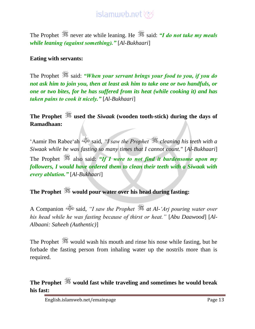The Prophet  $\frac{36}{25}$  never ate while leaning. He  $\frac{36}{25}$  said: *"I do not take my meals while leaning (against something)."* [*Al-Bukhaari*]

#### **Eating with servants:**

The Prophet  $\frac{360}{25}$  said: *"When your servant brings your food to you, if you do not ask him to join you, then at least ask him to take one or two handfuls, or one or two bites, for he has suffered from its heat (while cooking it) and has taken pains to cook it nicely."* [*Al-Bukhaari*]

### **The Prophet used the** *Siwaak* **(wooden tooth-stick) during the days of Ramadhaan:**

'Aamir Ibn Rabee'ah said, *"I saw the Prophet cleaning his teeth with a Siwaak while he was fasting so many times that I cannot count."* [*Al-Bukhaari*] The Prophet also said: *"If I were to not find it burdensome upon my followers, I would have ordered them to clean their teeth with a Siwaak with every ablution."* [*Al-Bukhaari*]

**The Prophet would pour water over his head during fasting:**

A Companion said, *"I saw the Prophet at Al-'Arj pouring water over his head while he was fasting because of thirst or heat."* [*Abu Daawood*] [*Al-Albaani: Saheeh (Authentic)*]

The Prophet  $\mathcal{H}$  would wash his mouth and rinse his nose while fasting, but he forbade the fasting person from inhaling water up the nostrils more than is required.

**The Prophet would fast while traveling and sometimes he would break his fast:**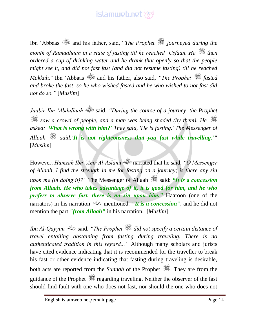Ibn 'Abbaas and his father, said, "*The Prophet journeyed during the month of Ramadhaan in a state of fasting till he reached 'Usfaan. He then ordered a cup of drinking water and he drank that openly so that the people might see it, and did not fast fast (and did not resume fasting) till he reached Makkah."* Ibn 'Abbaas and his father, also said, *"The Prophet fasted and broke the fast, so he who wished fasted and he who wished to not fast did not do so."* [*Muslim*]

*Jaabir Ibn 'Abdullaah* said, *"During the course of a journey, the Prophet saw a crowd of people, and a man was being shaded (by them). He asked: 'What is wrong with him?' They said, 'He is fasting.' The Messenger of Allaah said:'It is not righteousness that you fast while travelling.'"* [*Muslim*]

However, *Hamzah Ibn 'Amr Al-Aslami* narrated that he said, *"O Messenger of Allaah, I find the strength in me for fasting on a journey; is there any sin upon me (in doing it)?"* The Messenger of Allaah  $\frac{1}{2}$  said: "It is a concession *from Allaah. He who takes advantage of it, it is good for him, and he who prefers to observe fast, there is no sin upon him."* Haaroon (one of the narrators) in his narration mentioned: *"It is a concession"*, and he did not mention the part *"from Allaah"* in his narration. [*Muslim*]

*Ibn Al-Qayyim* said, *"The Prophet did not specify a certain distance of travel entailing abstaining from fasting during traveling. There is no authenticated tradition in this regard..."* Although many scholars and jurists have cited evidence indicating that it is recommended for the traveller to break his fast or other evidence indicating that fasting during traveling is desirable, both acts are reported from the *Sunnah* of the Prophet  $\frac{dS}{dx}$ . They are from the guidance of the Prophet  $\frac{1}{2}$  regarding traveling. Neither the observer of the fast should find fault with one who does not fast, nor should the one who does not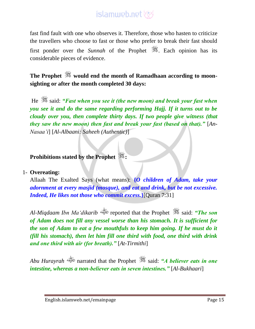fast find fault with one who observes it. Therefore, those who hasten to criticize the travellers who choose to fast or those who prefer to break their fast should first ponder over the *Sunnah* of the Prophet . Each opinion has its considerable pieces of evidence.

**The Prophet would end the month of Ramadhaan according to moonsighting or after the month completed 30 days:**

He **said:** *"Fast when you see it (the new moon) and break your fast when* $\mathbb{R}^3$ *you see it and do the same regarding performing Hajj. If it turns out to be cloudy over you, then complete thirty days. If two people give witness (that they saw the new moon) then fast and break your fast (based on that)."* [*An-Nasaa'i*] [*Al-Albaani: Saheeh (Authentic)*]

**Prohibitions stated by the Prophet :**

#### 1- **Overeating:**

Allaah The Exalted Says (what means): **{***O children of Adam, take your adornment at every masjid (mosque), and eat and drink, but be not excessive. Indeed, He likes not those who commit excess.***}**[Quran 7:31]

*Al-Miqdaam Ibn Ma'dikarib* reported that the Prophet said: *"The son of Adam does not fill any vessel worse than his stomach. It is sufficient for the son of Adam to eat a few mouthfuls to keep him going. If he must do it (fill his stomach), then let him fill one third with food, one third with drink and one third with air (for breath)."* [*At-Tirmithi*]

*Abu Hurayrah* narrated that the Prophet said: *"A believer eats in one intestine, whereas a non-believer eats in seven intestines."* [*Al-Bukhaari*]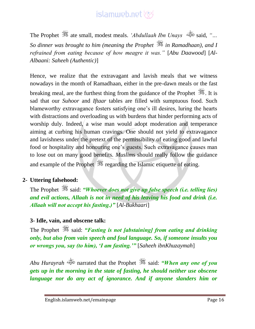The Prophet ate small, modest meals. *'Abdullaah Ibn Unays* said, *"… So dinner was brought to him (meaning the Prophet in Ramadhaan), and I refrained from eating because of how meagre it was."* [*Abu Daawood*] [*Al-Albaani: Saheeh (Authentic)*]

Hence, we realize that the extravagant and lavish meals that we witness nowadays in the month of Ramadhaan, either in the pre-dawn meals or the fast breaking meal, are the furthest thing from the guidance of the Prophet  $\mathcal{H}$ . It is sad that our *Suhoor* and *Iftaar* tables are filled with sumptuous food. Such blameworthy extravagance fosters satisfying one's ill desires, luring the hearts with distractions and overloading us with burdens that hinder performing acts of worship duly. Indeed, a wise man would adopt moderation and temperance aiming at curbing his human cravings. One should not yield to extravagance and lavishness under the pretext of the permissibility of eating good and lawful food or hospitality and honouring one's guests. Such extravagance causes man to lose out on many good benefits. *Muslim*s should really follow the guidance and example of the Prophet **regarding the Islamic etiquette of eating.** 

#### **2- Uttering falsehood:**

The Prophet said: *"Whoever does not give up false speech (i.e. telling lies) and evil actions, Allaah is not in need of his leaving his food and drink (i.e. Allaah will not accept his fasting.)"* [*Al-Bukhaari*]

#### **3- Idle, vain, and obscene talk:**

The Prophet  $\frac{360}{25}$  said: *"Fasting is not [abstaining] from eating and drinking only, but also from vain speech and foul language. So, if someone insults you or wrongs you, say (to him), 'I am fasting.'"* [*Saheeh ibnKhuzaymah*]

*Abu Hurayrah* narrated that the Prophet said: *"When any one of you gets up in the morning in the state of fasting, he should neither use obscene language nor do any act of ignorance. And if anyone slanders him or*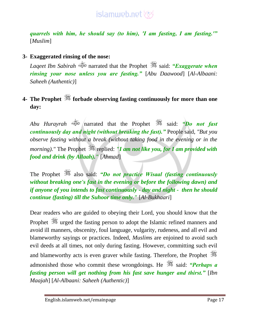

*quarrels with him, he should say (to him), 'I am fasting, I am fasting.'"*  [*Muslim*]

#### **3- Exaggerated rinsing of the nose:**

*Laqeet Ibn Sabirah* narrated that the Prophet said: *"Exaggerate when rinsing your nose unless you are fasting."* [*Abu Daawood*] [*Al-Albaani: Saheeh (Authentic)*]

#### **4- The Prophet forbade observing fasting continuously for more than one day:**

*Abu Hurayrah* narrated that the Prophet said: *"Do not fast continuously day and night (without breaking the fast)."* People said, *"But you observe fasting without a break (without taking food in the evening or in the morning*)." The Prophet  $\ddot{\mathcal{F}}$  replied: "I am not like you, for I am provided with *food and drink (by Allaah)."* [*Ahmad*]

The Prophet **3** also said: *"Do not practice Wisaal (fasting continuously without breaking one's fast in the evening or before the following dawn) and if anyone of you intends to fast continuously - day and night - then he should continue (fasting) till the Suhoor time only."* [*Al-Bukhaari*]

Dear readers who are guided to obeying their Lord, you should know that the Prophet  $\frac{360}{25}$  urged the fasting person to adopt the Islamic refined manners and avoid ill manners, obscenity, foul language, vulgarity, rudeness, and all evil and blameworthy sayings or practices. Indeed, *Muslim*s are enjoined to avoid such evil deeds at all times, not only during fasting. However, committing such evil and blameworthy acts is even graver while fasting. Therefore, the Prophet admonished those who commit these wrongdoings. He **said:** "Perhaps a *fasting person will get nothing from his fast save hunger and thirst."* [*Ibn Maajah*] [*Al-Albaani: Saheeh (Authentic)*]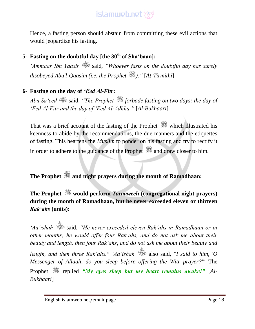Hence, a fasting person should abstain from committing these evil actions that would jeopardize his fasting.

### **5- Fasting on the doubtful day [the 30th of Sha'baan]:**

*'Ammaar Ibn Yaasir* said, *"Whoever fasts on the doubtful day has surely disobeyed Abu'l-Qaasim (i.e. the Prophet )."* [*At-Tirmithi*]

#### **6- Fasting on the day of** *'Eed Al-Fitr***:**

*Abu Sa'eed* said, *"The Prophet forbade fasting on two days: the day of 'Eed Al-Fitr and the day of 'Eed Al-Adhha."* [*Al-Bukhaari*]

That was a brief account of the fasting of the Prophet  $\frac{360}{260}$  which illustrated his keenness to abide by the recommendations, the due manners and the etiquettes of fasting. This heartens the *Muslim* to ponder on his fasting and try to rectify it in order to adhere to the guidance of the Prophet  $\mathbb{Z}$  and draw closer to him.

### **The Prophet and night prayers during the month of Ramadhaan:**

### **The Prophet would perform** *Taraaweeh* **(congregational night-prayers) during the month of Ramadhaan, but he never exceeded eleven or thirteen**  *Rak'ahs* **(units):**

*'Aa'ishah* said, *"He never exceeded eleven Rak'ahs in Ramadhaan or in other months; he would offer four Rak'ahs, and do not ask me about their beauty and length, then four Rak'ahs, and do not ask me about their beauty and length, and then three Rak'ahs." 'Aa'ishah* also said, *"I said to him, 'O Messenger of Allaah, do you sleep before offering the Witr prayer?'"* The Prophet *following* replied *"My eyes sleep but my heart remains awake!"* [Al-*Bukhaari*]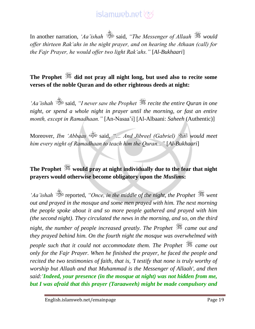In another narration, *'Aa'ishah* said, *"The Messenger of Allaah* is would *offer thirteen Rak'ahs in the night prayer, and on hearing the Athaan (call) for the Fajr Prayer, he would offer two light Rak'ahs."* [*Al-Bukhaari*]

#### **The Prophet did not pray all night long, but used also to recite some verses of the noble Quran and do other righteous deeds at night:**

*'Aa'ishah* said, *"I never saw the Prophet recite the entire Quran in one night, or spend a whole night in prayer until the morning, or fast an entire month, except in Ramadhaan."* [An-Nasaa'i] [Al-Albaani: *Saheeh* (Authentic)]

Moreover, *Ibn 'Abbaas* said, *"… And Jibreel (Gabriel) would meet him every night of Ramadhaan to teach him the Quran..."* [*Al-Bukhaari*]

### **The Prophet would pray at night individually due to the fear that night prayers would otherwise become obligatory upon the** *Muslim***s:**

*Aa'ishah*  $\ddot{\mathscr{B}}$  reported, "Once, in the middle of the night, the Prophet  $\ddot{\mathscr{B}}$  went *out and prayed in the mosque and some men prayed with him. The next morning the people spoke about it and so more people gathered and prayed with him (the second night). They circulated the news in the morning, and so, on the third night, the number of people increased greatly. The Prophet*  $\frac{dS}{dx}$  *came out and they prayed behind him. On the fourth night the mosque was overwhelmed with people such that it could not accommodate them. The Prophet*  $\mathcal{F}$  came out *only for the Fajr Prayer. When he finished the prayer, he faced the people and recited the two testimonies of faith, that is, 'I testify that none is truly worthy of worship but Allaah and that Muhammad is the Messenger of Allaah', and then said:'Indeed, your presence (in the mosque at night) was not hidden from me, but I was afraid that this prayer (Taraaweeh) might be made compulsory and*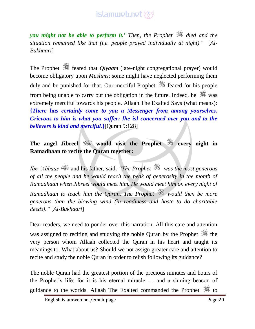*you might not be able to perform it.' Then, the Prophet died and the situation remained like that (i.e. people prayed individually at night)."* [*Al-Bukhaari*]

The Prophet  $\frac{4}{3}$  feared that *Qiyaam* (late-night congregational prayer) would become obligatory upon *Muslim*s; some might have neglected performing them duly and be punished for that. Our merciful Prophet  $\frac{360}{100}$  feared for his people from being unable to carry out the obligation in the future. Indeed, he  $\frac{1}{\sqrt{2}}$  was extremely merciful towards his people. Allaah The Exalted Says (what means): **{***There has certainly come to you a Messenger from among yourselves. Grievous to him is what you suffer; [he is] concerned over you and to the believers is kind and merciful.***}**[Quran 9:128]

**The angel Jibreel would visit the Prophet every night in Ramadhaan to recite the Quran together:**

*Ibn 'Abbaas* and his father, said, *"The Prophet was the most generous of all the people and he would reach the peak of generosity in the month of Ramadhaan when Jibreel would meet him. He would meet him on every night of Ramadhaan to teach him the Quran. The Prophet would then be more generous than the blowing wind (in readiness and haste to do charitable deeds)."* [*Al-Bukhaari*]

Dear readers, we need to ponder over this narration. All this care and attention was assigned to reciting and studying the noble Quran by the Prophet  $\frac{1}{200}$  the very person whom Allaah collected the Quran in his heart and taught its meanings to. What about us? Should we not assign greater care and attention to recite and study the noble Quran in order to relish following its guidance?

The noble Quran had the greatest portion of the precious minutes and hours of the Prophet's life; for it is his eternal miracle … and a shining beacon of guidance to the worlds. Allaah The Exalted commanded the Prophet  $\frac{360}{100}$  to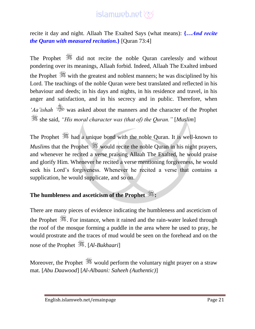recite it day and night. Allaah The Exalted Says (what means): **{***…And recite the Quran with measured recitation.***}** [Quran 73:4]

The Prophet  $\frac{360}{100}$  did not recite the noble Ouran carelessly and without pondering over its meanings, Allaah forbid. Indeed, Allaah The Exalted imbued the Prophet with the greatest and noblest manners; he was disciplined by his Lord. The teachings of the noble Quran were best translated and reflected in his behaviour and deeds; in his days and nights, in his residence and travel, in his anger and satisfaction, and in his secrecy and in public. Therefore, when *'Aa'ishah* was asked about the manners and the character of the Prophet she said, *"His moral character was (that of) the Quran."* [*Muslim*]

The Prophet  $\frac{4}{35}$  had a unique bond with the noble Quran. It is well-known to *Muslims* that the Prophet would recite the noble Quran in his night prayers, and whenever he recited a verse praising Allaah The Exalted, he would praise and glorify Him. Whenever he recited a verse mentioning forgiveness, he would seek his Lord's forgiveness. Whenever he recited a verse that contains a supplication, he would supplicate, and so on.

#### **The humbleness and asceticism of the Prophet :**

There are many pieces of evidence indicating the humbleness and asceticism of the Prophet  $\frac{36}{25}$ . For instance, when it rained and the rain-water leaked through the roof of the mosque forming a puddle in the area where he used to pray, he would prostrate and the traces of mud would be seen on the forehead and on the nose of the Prophet . [*Al-Bukhaari*]

Moreover, the Prophet  $\frac{360}{250}$  would perform the voluntary night prayer on a straw mat. [*Abu Daawood*] [*Al-Albaani: Saheeh (Authentic)*]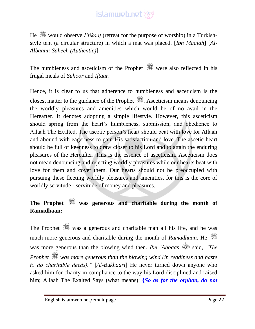He  $\frac{360}{100}$  would observe *I'tikaaf* (retreat for the purpose of worship) in a Turkishstyle tent (a circular structure) in which a mat was placed. [*Ibn Maajah*] [*Al-Albaani: Saheeh (Authentic)*]

The humbleness and asceticism of the Prophet  $\frac{36}{25}$  were also reflected in his frugal meals of *Suhoor* and *Iftaar*.

Hence, it is clear to us that adherence to humbleness and asceticism is the closest matter to the guidance of the Prophet . Asceticism means denouncing the worldly pleasures and amenities which would be of no avail in the Hereafter. It denotes adopting a simple lifestyle. However, this asceticism should spring from the heart's humbleness, submission, and obedience to Allaah The Exalted. The ascetic person's heart should beat with love for Allaah and abound with eagerness to gain His satisfaction and love. The ascetic heart should be full of keenness to draw closer to his Lord and to attain the enduring pleasures of the Hereafter. This is the essence of asceticism. Asceticism does not mean denouncing and rejecting worldly pleasures while our hearts beat with love for them and covet them. Our hearts should not be preoccupied with pursuing these fleeting worldly pleasures and amenities, for this is the core of worldly servitude - servitude of money and pleasures.

### **The Prophet was generous and charitable during the month of Ramadhaan:**

was a generous and charitable man all his life, and he was much more generous and charitable during the month of *Ramadhaan*. He was more generous than the blowing wind then. *Ibn 'Abbaas* said, *"The Prophet was more generous than the blowing wind (in readiness and haste to do charitable deeds)."* [*Al-Bukhaari*] He never turned down anyone who asked him for charity in compliance to the way his Lord disciplined and raised him; Allaah The Exalted Says (what means): **{***So as for the orphan, do not*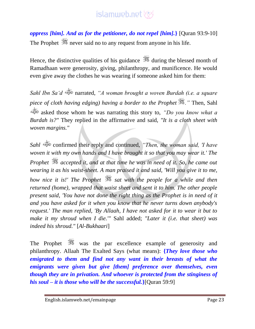*oppress [him]. And as for the petitioner, do not repel [him].***}** [Quran 93:9-10] The Prophet  $\frac{36}{25}$  never said no to any request from anyone in his life.

Hence, the distinctive qualities of his guidance  $\frac{1}{2}$  during the blessed month of Ramadhaan were generosity, giving, philanthropy, and munificence. He would even give away the clothes he was wearing if someone asked him for them:

*Sahl Ibn Sa'd* narrated, *"A woman brought a woven Burdah (i.e. a square piece of cloth having edging) having a border to the Prophet ."* Then, Sahl asked those whom he was narrating this story to, *"Do you know what a Burdah is?"* They replied in the affirmative and said, *"It is a cloth sheet with woven margins."*

*Sahl* confirmed their reply and continued, *"Then, the woman said, 'I have woven it with my own hands and I have brought it so that you may wear it.' The Prophet accepted it, and at that time he was in need of it. So, he came out wearing it as his waist-sheet. A man praised it and said, 'Will you give it to me, how nice it is!' The Prophet*  $\frac{36}{25}$  *sat with the people for a while and then returned (home), wrapped that waist sheet and sent it to him. The other people present said, 'You have not done the right thing as the Prophet is in need of it and you have asked for it when you know that he never turns down anybody's request.' The man replied, 'By Allaah, I have not asked for it to wear it but to make it my shroud when I die.'"* Sahl added; *"Later it (i.e. that sheet) was indeed his shroud."* [*Al-Bukhaari*]

The Prophet was the par excellence example of generosity and philanthropy. Allaah The Exalted Says (what means): **{***They love those who emigrated to them and find not any want in their breasts of what the emigrants were given but give [them] preference over themselves, even though they are in privation. And whoever is protected from the stinginess of his soul – it is those who will be the successful.***}**[Quran 59:9]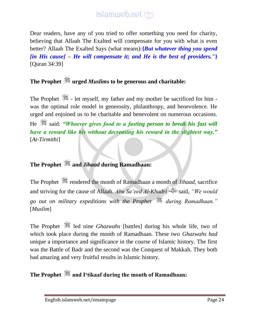Dear readers, have any of you tried to offer something you need for charity, believing that Allaah The Exalted will compensate for you with what is even better? Allaah The Exalted Says (what means):**{***But whatever thing you spend [in His cause] – He will compensate it; and He is the best of providers."***}** [Quran 34:39]

### **The Prophet urged** *Muslim***s to be generous and charitable:**

The Prophet  $\frac{1}{2}$  - let myself, my father and my mother be sacrificed for him was the optimal role model in generosity, philanthropy, and benevolence. He urged and enjoined us to be charitable and benevolent on numerous occasions. He  $\frac{360}{250}$  said: *"Whoever gives food to a fasting person to break his fast will have a reward like his without decreasing his reward in the slightest way."* [*At-Tirmithi*]

### **The Prophet and** *Jihaad* **during Ramadhaan:**

The Prophet  $\frac{d}{dx}$  rendered the month of Ramadhaan a month of *Jihaad*, sacrifice and striving for the cause of Allaah. *Abu Sa'eed Al-Khudri* said, *"We would go out on military expeditions with the Prophet during Ramadhaan."* [*Muslim*]

The Prophet  $\frac{dS}{dS}$  led nine *Ghazwahs* [battles] during his whole life, two of which took place during the month of Ramadhaan. These two *Ghazwahs had* unique a importance and significance in the course of Islamic history. The first was the Battle of Badr and the second was the Conquest of Makkah. They both had amazing and very fruitful results in Islamic history.

### **The Prophet and I'tikaaf during the month of Ramadhaan:**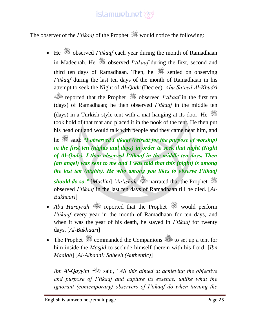The observer of the *I'tikaaf* of the Prophet **s** would notice the following:

 $\bullet$  He  $\mathscr{H}$  observed *I'tikaaf* each year during the month of Ramadhaan in Madeenah. He **starting** observed *I'tikaaf* during the first, second and third ten days of Ramadhaan. Then, he  $\frac{360}{100}$  settled on observing *I'tikaaf* during the last ten days of the month of Ramadhaan in his attempt to seek the Night of *Al-Qadr* (Decree). *Abu Sa'eed Al-Khudri* reported that the Prophet observed *I'tikaaf* in the first ten (days) of Ramadhaan; he then observed *I'tikaaf* in the middle ten (days) in a Turkish-style tent with a mat hanging at its door. He  $\frac{400}{100}$ took hold of that mat and placed it in the nook of the tent. He then put his head out and would talk with people and they came near him, and

he  $\frac{360}{250}$  said: *"I observed I'tikaaf (retreat for the purpose of worship) in the first ten (nights and days) in order to seek that night (Night of Al-Qadr). I then observed I'tikaaf in the middle ten days. Then (an angel) was sent to me and I was told that this (night) is among the last ten (nights). He who among you likes to observe I'tikaaf should do so.*" [*Muslim*] *'Aa'ishah* narrated that the Prophet  $\frac{36}{25}$ observed *I'tikaaf* in the last ten days of Ramadhaan till he died. [*Al-Bukhaari*]

- *Abu Hurayrah* eight of that the Prophet would perform *I'tikaaf* every year in the month of Ramadhaan for ten days, and when it was the year of his death, he stayed in *I'tikaaf* for twenty days. [*Al-Bukhaari*]
- The Prophet  $\frac{360}{25}$  commanded the Companions  $\frac{360}{25}$  to set up a tent for him inside the *Masjid* to seclude himself therein with his Lord. [*Ibn Maajah*] [*Al-Albaani: Saheeh (Authentic)*]

*Ibn Al-Qayyim* said, *"All this aimed at achieving the objective and purpose of I'tikaaf and capture its essence, unlike what the ignorant (contemporary) observers of I'tikaaf do when turning the*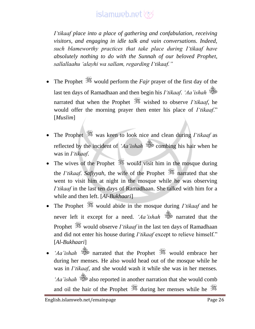*I'tikaaf place into a place of gathering and confabulation, receiving visitors, and engaging in idle talk and vain conversations. Indeed, such blameworthy practices that take place during I'tikaaf have absolutely nothing to do with the Sunnah of our beloved Prophet, sallallaahu 'alayhi wa sallam, regarding I'tikaaf."*

- The Prophet would perform the *Fajr* prayer of the first day of the last ten days of Ramadhaan and then begin his *I'tikaaf*. *'Aa'ishah* narrated that when the Prophet wished to observe *I'tikaaf*, he would offer the morning prayer then enter his place of *I'tikaaf*." [*Muslim*]
- The Prophet was keen to look nice and clean during *I'tikaaf* as reflected by the incident of *'Aa'ishah* combing his hair when he was in *I'tikaaf*.
- The wives of the Prophet  $\frac{1}{2}$  would visit him in the mosque during the *I'tikaaf*. *Safiyyah*, the wife of the Prophet is narrated that she went to visit him at night in the mosque while he was observing *I'tikaaf* in the last ten days of Ramadhaan. She talked with him for a while and then left. [*Al-Bukhaari*]
- The Prophet  $\frac{360}{200}$  would abide in the mosque during *I'tikaaf* and he never left it except for a need. *'Aa'ishah* narrated that the Prophet  $\frac{360}{25}$  would observe *I'tikaaf* in the last ten days of Ramadhaan and did not enter his house during *I'tikaaf* except to relieve himself." [*Al-Bukhaari*]
- *'Aa'ishah* would embrace her during her menses. He also would head out of the mosque while he was in *I'tikaaf*, and she would wash it while she was in her menses. *'Aa'ishah* also reported in another narration that she would comb and oil the hair of the Prophet  $\frac{d\mathscr{L}}{d\mathscr{L}}$  during her menses while he  $\frac{d\mathscr{L}}{d\mathscr{L}}$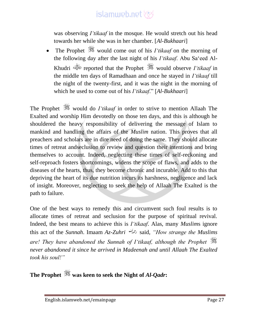was observing *I'tikaaf* in the mosque. He would stretch out his head towards her while she was in her chamber. [*Al-Bukhaari*]

• The Prophet  $\frac{360}{100}$  would come out of his *I'tikaaf* on the morning of the following day after the last night of his *I'tikaaf*. Abu Sa'eed Al-Khudri reported that the Prophet would observe *I'tikaaf* in the middle ten days of Ramadhaan and once he stayed in *I'tikaaf* till the night of the twenty-first, and it was the night in the morning of which he used to come out of his *I'tikaaf*." [*Al-Bukhaari*]

The Prophet would do *I'tikaaf* in order to strive to mention Allaah The Exalted and worship Him devotedly on those ten days, and this is although he shouldered the heavy responsibility of delivering the message of Islam to mankind and handling the affairs of the *Muslim* nation. This proves that all preachers and scholars are in dire need of doing the same. They should allocate times of retreat andseclusion to review and question their intentions and bring themselves to account. Indeed, neglecting these times of self-reckoning and self-reproach fosters shortcomings, widens the scope of flaws, and adds to the diseases of the hearts, thus, they become chronic and incurable. Add to this that depriving the heart of its due nutrition incurs its harshness, negligence and lack of insight. Moreover, neglecting to seek the help of Allaah The Exalted is the path to failure.

One of the best ways to remedy this and circumvent such foul results is to allocate times of retreat and seclusion for the purpose of spiritual revival. Indeed, the best means to achieve this is *I'tikaaf*. Alas, many *Muslim*s ignore this act of the *Sunnah*. Imaam *Az-Zuhri* said, *"How strange the Muslims are! They have abandoned the Sunnah of I'tikaaf, although the Prophet never abandoned it since he arrived in Madeenah and until Allaah The Exalted took his soul!"*

**The Prophet was keen to seek the Night of** *Al-Qadr***:**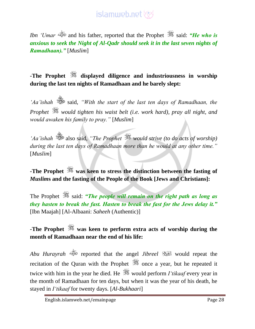*Ibn 'Umar*  $\frac{d}{dx}$  and his father, reported that the Prophet  $\frac{d}{dx}$  said: *"He who is anxious to seek the Night of Al-Qadr should seek it in the last seven nights of Ramadhaan)."* [*Muslim*]

#### **-The Prophet displayed diligence and industriousness in worship during the last ten nights of Ramadhaan and he barely slept:**

*'Aa'ishah* said, *"With the start of the last ten days of Ramadhaan, the Prophet would tighten his waist belt (i.e. work hard), pray all night, and would awaken his family to pray."* [*Muslim*]

*'Aa'ishah* also said, *"The Prophet would strive (to do acts of worship) during the last ten days of Ramadhaan more than he would at any other time."*  [*Muslim*]

**-The Prophet was keen to stress the distinction between the fasting of**  *Muslim***s and the fasting of the People of the Book [Jews and Christians]:**

The Prophet  $\frac{360}{25}$  said: *"The people will remain on the right path as long as they hasten to break the fast. Hasten to break the fast for the Jews delay it."* [Ibn Maajah] [Al-Albaani: *Saheeh* (Authentic)]

#### **-The Prophet was keen to perform extra acts of worship during the month of Ramadhaan near the end of his life:**

*Abu Hurayrah* reported that the angel *Jibreel* would repeat the recitation of the Quran with the Prophet  $\frac{360}{200}$  once a year, but he repeated it twice with him in the year he died. He **was** would perform *I'tikaaf* every year in the month of Ramadhaan for ten days, but when it was the year of his death, he stayed in *I'tikaaf* for twenty days. [*Al-Bukhaari*]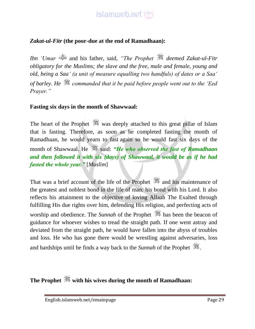#### *Zakat-ul-Fitr* **(the poor-due at the end of Ramadhaan):**

*Ibn 'Umar* and his father, said, *"The Prophet deemed Zakat-ul-Fitr obligatory for the Muslims; the slave and the free, male and female, young and old, being a Saa' (a unit of measure equalling two handfuls) of dates or a Saa' of barley. He commanded that it be paid before people went out to the 'Eed Prayer."*

#### **Fasting six days in the month of Shawwaal:**

The heart of the Prophet was deeply attached to this great pillar of Islam that is fasting. Therefore, as soon as he completed fasting the month of Ramadhaan, he would yearn to fast again so he would fast six days of the month of Shawwaal. He  $\gg$  said: *"He who observed the fast of Ramadhaan and then followed it with six (days) of Shawwaal, it would be as if he had fasted the whole year."* [*Muslim*]

That was a brief account of the life of the Prophet  $\frac{360}{260}$  and his maintenance of the greatest and noblest bond in the life of man: his bond with his Lord. It also reflects his attainment to the objective of loving Allaah The Exalted through fulfilling His due rights over him, defending His religion, and perfecting acts of worship and obedience. The *Sunnah* of the Prophet **s** has been the beacon of guidance for whoever wishes to tread the straight path. If one went astray and deviated from the straight path, he would have fallen into the abyss of troubles and loss. He who has gone there would be wrestling against adversaries, loss and hardships until he finds a way back to the *Sunnah* of the Prophet  $\mathcal{L}$ .

**The Prophet with his wives during the month of Ramadhaan:**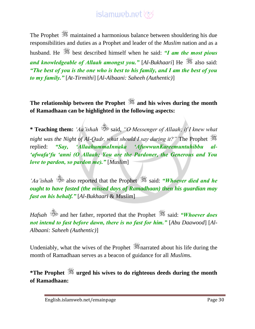The Prophet  $\frac{360}{25}$  maintained a harmonious balance between shouldering his due responsibilities and duties as a Prophet and leader of the *Muslim* nation and as a husband. He best described himself when he said: *"I am the most pious and knowledgeable of Allaah amongst you.*" [Al-Bukhaari] He **subset 3** also said: *"The best of you is the one who is best to his family, and I am the best of you to my family."* [*At-Tirmithi*] [*Al-Albaani: Saheeh (Authentic)*]

**The relationship between the Prophet and his wives during the month of Ramadhaan can be highlighted in the following aspects:**

**\* Teaching them:** *'Aa'ishah* said, *"O Messenger of Allaah; if I knew what night was the Night of Al-Qadr, what should I say during it?"* The Prophet replied: *"Say, 'AllaahummaInnaka 'AfuwwunKareemuntuhibbu al- 'afwafa'fu 'anni (O Allaah; You are the Pardoner, the Generous and You love to pardon, so pardon me)."* [*Muslim*]

*Aa'ishah* also reported that the Prophet **said:** *"Whoever died and he Aa'ishah* and *he ought to have fasted (the missed days of Ramadhaan) then his guardian may fast on his behalf."* [*Al-Bukhaari* & *Muslim*]

*Hafsah*  $\ddot{\mathscr{B}}$  and her father, reported that the Prophet  $\ddot{\mathscr{B}}$  said: *"Whoever does not intend to fast before dawn, there is no fast for him."* [*Abu Daawood*] [*Al-Albaani: Saheeh (Authentic)*]

Undeniably, what the wives of the Prophet  $\frac{360}{25}$  narrated about his life during the month of Ramadhaan serves as a beacon of guidance for all *Muslim*s.

**\*The Prophet urged his wives to do righteous deeds during the month of Ramadhaan:**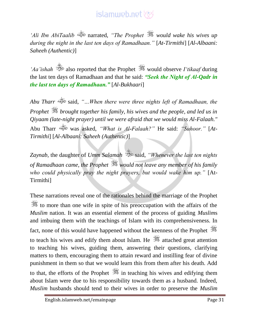*'Ali Ibn AbiTaalib* narrated, *"The Prophet would wake his wives up during the night in the last ten days of Ramadhaan."* [*At-Tirmithi*] [*Al-Albaani: Saheeh (Authentic)*]

*'Aa'ishah*  $\ddot{\mathscr{B}}$  also reported that the Prophet  $\ddot{\mathscr{B}}$  would observe *I'tikaaf* during the last ten days of Ramadhaan and that he said: *"Seek the Night of Al-Qadr in the last ten days of Ramadhaan."* [*Al-Bukhaari*]

*Abu Tharr* said, *"…When there were three nights left of Ramadhaan, the Prophet brought together his family, his wives and the people, and led us in Qiyaam (late-night prayer) until we were afraid that we would miss Al-Falaah."*  Abu Tharr was asked, *"What is Al-Falaah?"* He said: *"Suhoor."* [*At-Tirmithi*] [*Al-Albaani: Saheeh (Authentic)*]

Zaynab, the daughter of *Umm Salamah* said, "Whenever the last ten nights *of Ramadhaan came, the Prophet would not leave any member of his family who could physically pray the night prayers, but would wake him up."* [At-Tirmithi]

These narrations reveal one of the rationales behind the marriage of the Prophet to more than one wife in spite of his preoccupation with the affairs of the *Muslim* nation. It was an essential element of the process of guiding *Muslim*s and imbuing them with the teachings of Islam with its comprehensiveness. In fact, none of this would have happened without the keenness of the Prophet to teach his wives and edify them about Islam. He  $\frac{dS}{dS}$  attached great attention to teaching his wives, guiding them, answering their questions, clarifying matters to them, encouraging them to attain reward and instilling fear of divine punishment in them so that we would learn this from them after his death. Add to that, the efforts of the Prophet  $\frac{1}{20}$  in teaching his wives and edifying them about Islam were due to his responsibility towards them as a husband. Indeed, *Muslim* husbands should tend to their wives in order to preserve the *Muslim*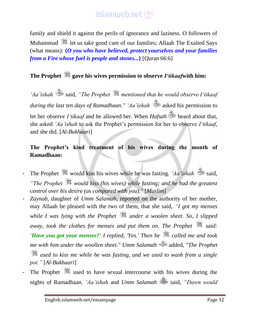family and shield it against the perils of ignorance and laziness. O followers of Muhammad **let us take good care of our families**; Allaah The Exalted Says (what means): **{***O you who have believed, protect yourselves and your families from a Fire whose fuel is people and stones...***}** [Quran 66:6]

### **The Prophet gave his wives permission to observe** *I'tikaaf***with him:**

*'Aa'ishah* said, *"The Prophet mentioned that he would observe I'tikaaf during the last ten days of Ramadhaan." 'Aa'ishah* asked his permission to let her observe *I'tikaaf* and he allowed her. When *Hafsah* is heard about that, she asked *'Aa'ishah* to ask the Prophet's permission for her to observe *I'tikaaf*, and she did. [*Al-Bukhaari*]

#### **The Prophet's kind treatment of his wives during the month of Ramadhaan:**

- The Prophet  $\frac{1}{200}$  would kiss his wives while he was fasting. *'Aa'ishah* said, *"The Prophet would kiss (his wives) while fasting; and he had the greatest control over his desire (as compared with you)."* [*Muslim*]
- Zaynab, daughter of *Umm Salamah*, reported on the authority of her mother, may Allaah be pleased with the two of them, that she said, *"I got my menses while I was lying with the Prophet under a woolen sheet. So, I slipped away, took the clothes for menses and put them on. The Prophet said: 'Have you got your menses?' I replied, 'Yes.' Then he called me and took me with him under the woollen sheet." Umm Salamah* added, *"The Prophet used to kiss me while he was fasting, and we used to wash from a single pot."* [*Al-Bukhaari*]
- The Prophet  $\frac{360}{25}$  used to have sexual intercourse with his wives during the nights of Ramadhaan. *'Aa'ishah* and *Umm Salamah* said, *"Dawn would*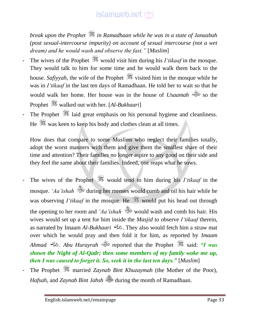*break upon the Prophet in Ramadhaan while he was in a state of Janaabah (post sexual-intercourse impurity) on account of sexual intercourse (not a wet dream) and he would wash and observe the fast."* [*Muslim*]

- The wives of the Prophet  $\frac{1}{2}$  would visit him during his *I'tikaaf* in the mosque. They would talk to him for some time and he would walk them back to the house. *Safivyah*, the wife of the Prophet  $\frac{1}{2}$  visited him in the mosque while he was in *I'tikaaf* in the last ten days of Ramadhaan. He told her to wait so that he would walk her home. Her house was in the house of *Usaamah* so the Prophet walked out with her. [Al-Bukhaari]
- The Prophet  $\frac{1}{2}$  laid great emphasis on his personal hygiene and cleanliness. He  $\frac{36}{25}$  was keen to keep his body and clothes clean at all times.

How does that compare to some *Muslim*s who neglect their families totally, adopt the worst manners with them and give them the smallest share of their time and attention? Their families no longer aspire to any good on their side and they feel the same about their families. Indeed, one reaps what he sows.

- The wives of the Prophet would tend to him during his *I'tikaaf* in the mosque. 'Aa'ishah **de during her menses** would comb and oil his hair while he was observing *I'tikaaf* in the mosque. He **solut** would put his head out through the opening to her room and *'Aa'ishah* would wash and comb his hair. His wives would set up a tent for him inside the *Masjid* to observe *I'tikaaf* therein, as narrated by Imaam *Al-Bukhaari* . They also would fetch him a straw mat over which he would pray and then fold it for him, as reported by *Imaam Ahmad* . *Abu Hurayrah* reported that the Prophet said: *"I was shown the Night of Al-Qadr; then some members of my family woke me up, then I was caused to forget it. So, seek it in the last ten days."* [*Muslim*]
- The Prophet  $\frac{dS}{dx}$  married *Zaynab Bint Khuzaymah* (the Mother of the Poor), *Hafsah*, and *Zaynab Bint Jahsh* during the month of Ramadhaan.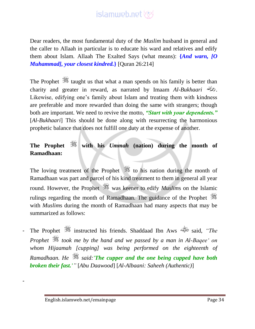Dear readers, the most fundamental duty of the *Muslim* husband in general and the caller to Allaah in particular is to educate his ward and relatives and edify them about Islam. Allaah The Exalted Says (what means): **{***And warn, [O Muhammad], your closest kindred.***}** [Quran 26:214]

The Prophet  $\frac{1}{2}$  taught us that what a man spends on his family is better than charity and greater in reward, as narrated by Imaam *Al-Bukhaari* . Likewise, edifying one's family about Islam and treating them with kindness are preferable and more rewarded than doing the same with strangers; though both are important. We need to revive the motto, *"Start with your dependents."* [*Al-Bukhaari*] This should be done along with resurrecting the harmonious prophetic balance that does not fulfill one duty at the expense of another.

### **The Prophet with his** *Ummah* **(nation) during the month of Ramadhaan:**

The loving treatment of the Prophet  $*$  to his nation during the month of Ramadhaan was part and parcel of his kind treatment to them in general all year round. However, the Prophet is was keener to edify *Muslims* on the Islamic rulings regarding the month of Ramadhaan. The guidance of the Prophet with *Muslim*s during the month of Ramadhaan had many aspects that may be summarized as follows:

- The Prophet instructed his friends. Shaddaad Ibn Aws said, *"The Prophet took me by the hand and we passed by a man in Al-Baqee' on whom Hijaamah [cupping] was being performed on the eighteenth of Ramadhaan. He said:'The cupper and the one being cupped have both broken their fast.'"* [*Abu Daawood*] [*Al-Albaani: Saheeh (Authentic)*]

-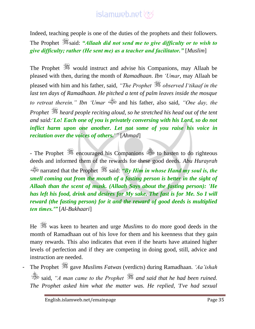Indeed, teaching people is one of the duties of the prophets and their followers. The Prophet **said:** *"Allaah did not send me to give difficulty or to wish to give difficulty; rather (He sent me) as a teacher and facilitator."* [*Muslim*]

The Prophet  $\frac{360}{200}$  would instruct and advise his Companions, may Allaah be pleased with then, during the month of *Ramadhaan*. *Ibn 'Umar*, may Allaah be pleased with him and his father, said, *"The Prophet observed I'tikaaf in the last ten days of Ramadhaan. He pitched a tent of palm leaves inside the mosque to retreat therein." Ibn 'Umar* and his father, also said, *"One day, the Prophet heard people reciting aloud, so he stretched his head out of the tent and said:'Lo! Each one of you is privately conversing with his Lord, so do not inflict harm upon one another. Let not some of you raise his voice in recitation over the voices of others.'"* [*Ahmad*]

- The Prophet  $\frac{360}{100}$  encouraged his Companions to hasten to do righteous deeds and informed them of the rewards for these good deeds. *Abu Hurayrah* narrated that the Prophet said: *"By Him in whose Hand my soul is, the smell coming out from the mouth of a fasting person is better in the sight of Allaah than the scent of musk. (Allaah Says about the fasting person): 'He has left his food, drink and desires for My sake. The fast is for Me. So I will reward (the fasting person) for it and the reward of good deeds is multiplied ten times.'"* [*Al-Bukhaari*]

He  $\frac{360}{100}$  was keen to hearten and urge *Muslim*s to do more good deeds in the month of Ramadhaan out of his love for them and his keenness that they gain many rewards. This also indicates that even if the hearts have attained higher levels of perfection and if they are competing in doing good, still, advice and instruction are needed.

- The Prophet gave *Muslim*s *Fatwas* (verdicts) during Ramadhaan. *'Aa'ishah* said, *"A man came to the Prophet and said that he had been ruined. The Prophet asked him what the matter was. He replied, 'I've had sexual*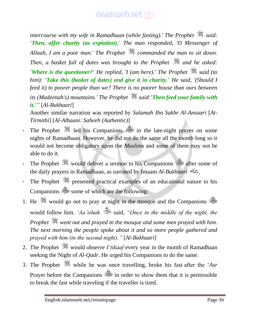*intercourse with my wife in Ramadhaan (while fasting).' The Prophet*  $\frac{1}{26}$  said: *'Then, offer charity (as expiation).' The man responded, 'O Messenger of Allaah, I am a poor man.' The Prophet commanded the man to sit down. Then, a basket full of dates was brought to the Prophet*  $\frac{1}{200}$  and he asked: *'Where is the questioner?' He replied, 'I (am here).' The Prophet*  $\frac{1}{200}$  said (to *him): 'Take this (basket of dates) and give it in charity.' He said, '(Should I feed it) to poorer people than we? There is no poorer house than ours between its (Madeenah's) mountains.' The Prophet said:'Then feed your family with it.'"* [*Al-Bukhaari*]

Another similar narration was reported by *Salamah Ibn Sakhr Al-Ansaari* [*At-Tirmithi*] [*Al-Albaani: Saheeh (Authentic)*]

- The Prophet  $\frac{360}{25}$  led his Companions  $\frac{360}{25}$  in the late-night prayer on some nights of Ramadhaan. However, he did not do the same all the month long so it would not become obligatory upon the *Muslim*s and some of them may not be able to do it.
- The Prophet  $\frac{1}{2}$  would deliver a sermon to his Companions after some of the daily prayers in Ramadhaan, as narrated by Imaam *Al-Bukhaari* .
- The Prophet  $\frac{1}{2}$  presented practical examples of an educational nature to his Companions some of which are the following:
- 1. He  $\gg$  would go out to pray at night in the mosque and the Companions would follow him. *'Aa'ishah* said, *"Once in the middle of the night, the Prophet went out and prayed in the mosque and some men prayed with him. The next morning the people spoke about it and so more people gathered and prayed with him (in the second night)."* [*Al-Bukhaari*]
- 2. The Prophet  $\frac{360}{25}$  would observe *I'tikaaf* every year in the month of Ramadhaan seeking the Night of *Al-Qadr.* He urged his Companions to do the same.
- 3. The Prophet while he was once travelling, broke his fast after the '*Asr* Prayer before the Companions  $\frac{1}{2}$  in order to show them that it is permissible to break the fast while traveling if the traveller is tired.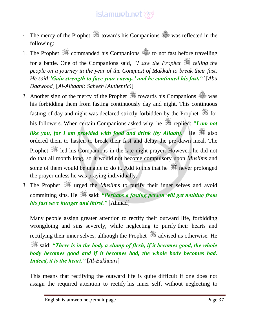- The mercy of the Prophet  $\mathcal{F}$  towards his Companions  $\mathcal{F}$  was reflected in the following:
- 1. The Prophet  $\frac{360}{25}$  commanded his Companions  $\frac{360}{25}$  to not fast before travelling for a battle. One of the Companions said, *"I saw the Prophet telling the people on a journey in the year of the Conquest of Makkah to break their fast. He said:'Gain strength to face your enemy,' and he continued his fast.'"* [*Abu Daawood*] [*Al-Albaani: Saheeh (Authentic)*]
- 2. Another sign of the mercy of the Prophet  $\frac{360}{25}$  towards his Companions  $\frac{360}{25}$  was his forbidding them from fasting continuously day and night. This continuous fasting of day and night was declared strictly forbidden by the Prophet  $\frac{1}{200}$  for his followers. When certain Companions asked why, he **state is the value of the** *i***nt** of the replied: *"I am not like you, for I am provided with food and drink (by Allaah).*" He  $\approx$  also ordered them to hasten to break their fast and delay the pre-dawn meal. The Prophet  $\frac{360}{25}$  led his Companions in the late-night prayer. However, he did not do that all month long, so it would not become compulsory upon *Muslim*s and some of them would be unable to do it. Add to this that he  $\frac{1}{\sqrt{2}}$  never prolonged the prayer unless he was praying individually.
- 3. The Prophet  $\frac{360}{100}$  urged the *Muslim*s to purify their inner selves and avoid committing sins. He said: "Perhaps a fasting person will get nothing from *his fast save hunger and thirst."* [Ahmad]

Many people assign greater attention to rectify their outward life, forbidding wrongdoing and sins severely, while neglecting to purify their hearts and rectifying their inner selves, although the Prophet  $\frac{36}{26}$  advised us otherwise. He said: *"There is in the body a clump of flesh, if it becomes good, the whole body becomes good and if it becomes bad, the whole body becomes bad. Indeed, it is the heart."* [*Al-Bukhaari*]

This means that rectifying the outward life is quite difficult if one does not assign the required attention to rectify his inner self, without neglecting to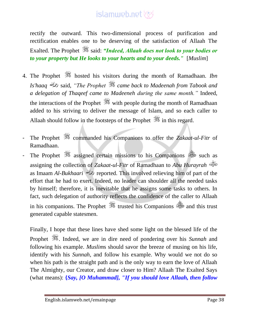rectify the outward. This two-dimensional process of purification and rectification enables one to be deserving of the satisfaction of Allaah The Exalted. The Prophet  $\frac{36}{20}$  said: *"Indeed, Allaah does not look to your bodies or to your property but He looks to your hearts and to your deeds."* [*Muslim*]

- 4. The Prophet hosted his visitors during the month of Ramadhaan. *Ibn Is'haaq* said, *"The Prophet came back to Madeenah from Tabook and a delegation of Thaqeef came to Madeeneh during the same month."* Indeed, the interactions of the Prophet  $\frac{360}{200}$  with people during the month of Ramadhaan added to his striving to deliver the message of Islam, and so each caller to Allaah should follow in the footsteps of the Prophet  $\mathcal{F}$  in this regard.
- The Prophet  $\gg$  commanded his Companions to offer the *Zakaat-ul-Fitr* of Ramadhaan.
- The Prophet  $*$  assigned certain missions to his Companions is such as assigning the collection of *Zakaat-ul-Fitr* of Ramadhaan to *Abu Hurayrah* as Imaam *Al-Bukhaari* reported. This involved relieving him of part of the effort that he had to exert. Indeed, no leader can shoulder all the needed tasks by himself; therefore, it is inevitable that he assigns some tasks to others. In fact, such delegation of authority reflects the confidence of the caller to Allaah in his companions. The Prophet  $\frac{360}{200}$  trusted his Companions and this trust generated capable statesmen.

Finally, I hope that these lines have shed some light on the blessed life of the Prophet  $\mathscr{H}$ . Indeed, we are in dire need of pondering over his *Sunnah* and following his example. *Muslim*s should savor the breeze of musing on his life, identify with his *Sunnah*, and follow his example. Why would we not do so when his path is the straight path and is the only way to earn the love of Allaah The Almighty, our Creator, and draw closer to Him? Allaah The Exalted Says (what means): **{***Say, [O Muhammad], "If you should love Allaah, then follow*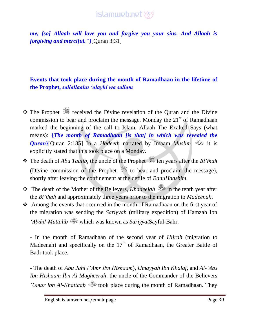*me, [so] Allaah will love you and forgive you your sins. And Allaah is forgiving and merciful."***}**[Quran 3:31]

#### **Events that took place during the month of Ramadhaan in the lifetime of the Prophet,** *sallallaahu 'alayhi wa sallam*

- $\cdot \cdot$  The Prophet  $\cdot \cdot$  received the Divine revelation of the Ouran and the Divine commission to bear and proclaim the message. Monday the  $21<sup>st</sup>$  of Ramadhaan marked the beginning of the call to Islam. Allaah The Exalted Says (what means): **{***The month of Ramadhaan [is that] in which was revealed the Quran***}**[Quran 2:185] In a *Hadeeth* narrated by Imaam *Muslim* it is explicitly stated that this took place on a Monday.
- $\triangle$  The death of *Abu Taalib*, the uncle of the Prophet  $\triangle$  ten years after the *Bi'thah* (Divine commission of the Prophet  $\frac{36}{100}$  to bear and proclaim the message), shortly after leaving the confinement at the defile of *BanuHaashim*.
- The death of the Mother of the Believers, *Khadeejah* in the tenth year after the *Bi'thah* and approximately three years prior to the migration to *Madeenah*.
- Among the events that occurred in the month of Ramadhaan on the first year of the migration was sending the *Sariyyah* (military expedition) of Hamzah Ibn *'Abdul-Muttalib* which was known as *Sariyyat*Sayful-Bahr.

- In the month of Ramadhaan of the second year of *Hijrah* (migration to Madeenah) and specifically on the  $17<sup>th</sup>$  of Ramadhaan, the Greater Battle of Badr took place.

- The death of *Abu Jahl ('Amr Ibn Hishaam*), *Umayyah Ibn Khalaf*, and *Al-'Aas Ibn Hishaam Ibn Al-Mugheerah*, the uncle of the Commander of the Believers *'Umar ibn Al-Khattaab*  $\stackrel{\text{def}}{=}$  took place during the month of Ramadhaan. They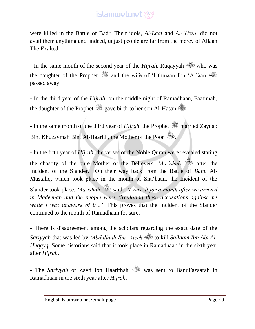were killed in the Battle of Badr. Their idols, *Al-Laat* and *Al-'Uzza*, did not avail them anything and, indeed, unjust people are far from the mercy of Allaah The Exalted.

- In the same month of the second year of the *Hijrah*, Ruqayyah who was the daughter of the Prophet  $\frac{360}{100}$  and the wife of 'Uthmaan Ibn 'Affaan passed away.

- In the third year of the *Hijrah*, on the middle night of Ramadhaan, Faatimah, the daughter of the Prophet  $\mathscr{H}$  gave birth to her son Al-Hasan  $\mathscr{H}$ .

- In the same month of the third year of *Hijrah*, the Prophet  $\frac{1}{200}$  married Zaynab Bint Khuzaymah Bint Al-Haarith, the Mother of the Poor

- In the fifth year of *Hijrah*, the verses of the Noble Quran were revealed stating the chastity of the pure Mother of the Believers, *'Aa'ishah* after the Incident of the Slander. On their way back from the Battle of *Banu* Al-Mustaliq, which took place in the month of Sha'baan, the Incident of the Slander took place. 'Aa'ishah said, "I was ill for a month after we arrived *in Madeenah and the people were circulating these accusations against me while I was unaware of it...*" This proves that the Incident of the Slander continued to the month of Ramadhaan for sure.

- There is disagreement among the scholars regarding the exact date of the *Sariyyah* that was led by *'Abdullaah Ibn 'Ateek* to kill *Sallaam Ibn Abi Al-Huqayq*. Some historians said that it took place in Ramadhaan in the sixth year after *Hijrah*.

- The *Sariyyah* of Zayd Ibn Haarithah was sent to BanuFazaarah in Ramadhaan in the sixth year after *Hijrah*.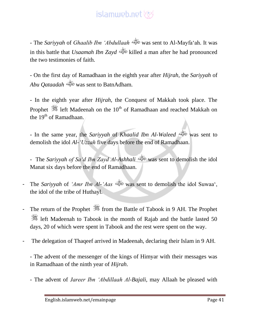- The *Sariyyah* of *Ghaalib Ibn 'Abdullaah* was sent to Al-Mayfa'ah. It was in this battle that *Usaamah Ibn Zayd* killed a man after he had pronounced the two testimonies of faith.

- On the first day of Ramadhaan in the eighth year after *Hijrah*, the *Sariyyah* of *Abu Qataadah* was sent to BatnAdham.

- In the eighth year after *Hijrah*, the Conquest of Makkah took place. The Prophet  $\frac{360}{25}$  left Madeenah on the 10<sup>th</sup> of Ramadhaan and reached Makkah on the  $19<sup>th</sup>$  of Ramadhaan.

- In the same year, the *Sariyyah* of *Khaalid Ibn Al-Waleed* was sent to demolish the idol *Al-'Uzzah* five days before the end of Ramadhaan.

- The *Sariyyah of Sa'd Ibn Zayd Al-Ashhali* was sent to demolish the idol Manat six days before the end of Ramadhaan.

- The *Sariyyah* of *'Amr Ibn Al-'Aas* was sent to demolish the idol Suwaa', the idol of the tribe of Huthayl.
- The return of the Prophet  $\frac{365}{25}$  from the Battle of Tabook in 9 AH. The Prophet left Madeenah to Tabook in the month of Rajab and the battle lasted 50 days, 20 of which were spent in Tabook and the rest were spent on the way.
- The delegation of Thaqeef arrived in Madeenah, declaring their Islam in 9 AH.

- The advent of the messenger of the kings of Himyar with their messages was in Ramadhaan of the ninth year of *Hijrah*.

- The advent of *Jareer Ibn 'Abdillaah Al-Bajali*, may Allaah be pleased with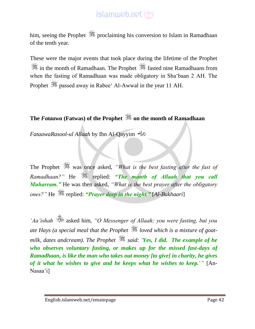him, seeing the Prophet  $\frac{1}{2}$  proclaiming his conversion to Islam in Ramadhaan of the tenth year.

These were the major events that took place during the lifetime of the Prophet **\$** in the month of Ramadhaan. The Prophet  $\frac{36}{25}$  fasted nine Ramadhaans from when the fasting of Ramadhaan was made obligatory in Sha'baan 2 AH. The Prophet  $\frac{360}{25}$  passed away in Rabee' Al-Awwal in the year 11 AH.

**The** *Fataawa* **(Fatwas) of the Prophet on the month of Ramadhaan**

*FataawaRasool-ul Allaah* by Ibn Al-Qayyim

The Prophet was once asked, *"What is the best fasting after the fast of Ramadhaan?*" He  $\frac{1}{2}$  replied: "The month of Allaah that you call *Muharram."* He was then asked, *"What is the best prayer after the obligatory ones?"* He  $\mathcal{F}$  replied: *"Prayer deep in the night."* [Al-Bukhaari]

*'Aa'ishah* asked him, *"O Messenger of Allaah; you were fasting, but you ate Hays (a special meal that the Prophet loved which is a mixture of goatmilk, dates andcream). The Prophet said: 'Yes, I did. The example of he who observes voluntary fasting, or makes up for the missed fast-days of Ramadhaan, is like the man who takes out money [to give] in charity, he gives of it what he wishes to give and he keeps what he wishes to keep.'"* [An-Nasaa'i]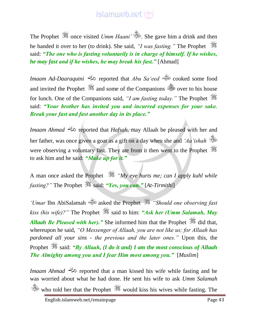The Prophet  $\frac{1}{2}$  once visited *Umm Haani*<sup>'</sup> . She gave him a drink and then he handed it over to her (to drink). She said, *"I was fasting."* The Prophet said: *"The one who is fasting voluntarily is in charge of himself. If he wishes, he may fast and if he wishes, he may break his fast."* [Ahmad]

*Imaam Ad-Daaraqutni* reported that *Abu Sa'eed* cooked some food and invited the Prophet  $\frac{360}{200}$  and some of the Companions  $\frac{360}{200}$  over to his house for lunch. One of the Companions said, *"I am fasting today."* The Prophet said: *"Your brother has invited you and incurred expenses for your sake. Break your fast and fast another day in its place."*

*Imaam Ahmad reported that <i>Hafsah*, may Allaah be pleased with her and her father, was once given a goat as a gift on a day when she and *'Aa'ishah* were observing a voluntary fast. They ate from it then went to the Prophet to ask him and he said: *"Make up for it."*

A man once asked the Prophet *"My eye hurts me; can I apply kuhl while fasting?"* The Prophet  $\frac{36}{25}$  said: *"Yes, you can."* [At-Tirmithi]

*'Umar* Ibn AbiSalamah asked the Prophet *"Should one observing fast kiss (his wife)?"* The Prophet  $\frac{365}{100}$  said to him: *"Ask her (Umm Salamah, May Allaah Be Pleased with her).*" She informed him that the Prophet  $\frac{d}{dx}$  did that, whereupon he said, *"O Messenger of Allaah, you are not like us; for Allaah has pardoned all your sins - the previous and the later ones."* Upon this, the Prophet  $\frac{360}{25}$  said: *"By Allaah, (I do it and) I am the most conscious of Allaah The Almighty among you and I fear Him most among you."* [*Muslim*]

*Imaam Ahmad reported that a man kissed his wife while fasting and he* was worried about what he had done. He sent his wife to ask *Umm Salamah* who told her that the Prophet  $\ddot{\mathscr{L}}$  would kiss his wives while fasting. The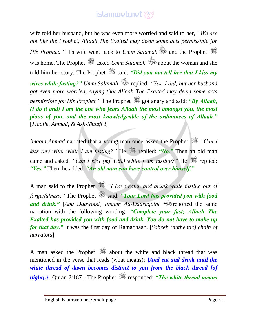wife told her husband, but he was even more worried and said to her, *"We are not like the Prophet; Allaah The Exalted may deem some acts permissible for His Prophet.*" His wife went back to *Umm Salamah* and the Prophet  $\mathbb{Z}$ was home. The Prophet  $\frac{360}{25}$  asked *Umm Salamah*  $\frac{360}{25}$  about the woman and she told him her story. The Prophet  $\mathcal{H}$  said: *"Did you not tell her that I kiss my wives while fasting?" Umm Salamah* replied, *"Yes, I did, but her husband got even more worried, saying that Allaah The Exalted may deem some acts permissible for His Prophet.*" The Prophet  $\frac{1}{2}$  got angry and said: "By Allaah, *(I do it and) I am the one who fears Allaah the most amongst you, the most pious of you, and the most knowledgeable of the ordinances of Allaah."* [*Maalik, Ahmad, & Ash-Shaafi'i*]

*Imaam Ahmad* narrated that a young man once asked the Prophet *"Can I kiss (my wife) while I am fasting?"* He  $\frac{1}{20}$  replied: "*No.*" Then an old man came and asked, "*Can I kiss (my wife) while I am fasting?*" He  $\gg$  replied: *"Yes."* Then, he added: *"An old man can have control over himself."*

A man said to the Prophet *"I have eaten and drunk while fasting out of forgetfulness.*" The Prophet  $\frac{1}{20}$  said: "Your Lord has provided you with food *and drink."* [*Abu Daawood*] *Imaam Ad-Daaraqutni* reported the same narration with the following wording: *"Complete your fast; Allaah The Exalted has provided you with food and drink. You do not have to make up for that day."* It was the first day of Ramadhaan. [*Saheeh (authentic) chain of narrators*]

A man asked the Prophet  $\frac{360}{200}$  about the white and black thread that was mentioned in the verse that reads (what means): **{***And eat and drink until the white thread of dawn becomes distinct to you from the black thread [of night].* [Quran 2:187]. The Prophet  $\frac{365}{25}$  responded: *"The white thread means*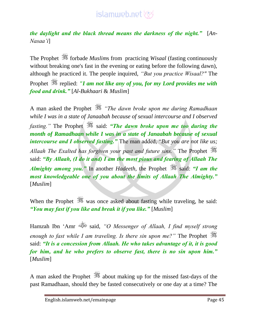*the daylight and the black thread means the darkness of the night."* [*An-Nasaa'i*]

The Prophet  $\frac{360}{25}$  forbade *Muslims* from practicing *Wisaal* (fasting continuously without breaking one's fast in the evening or eating before the following dawn), although he practiced it. The people inquired, *"But you practice Wisaal?"* The Prophet  $\mathcal{H}$  replied: *"I am not like any of you, for my Lord provides me with food and drink."* [*Al-Bukhaari* & *Muslim*]

A man asked the Prophet *"The dawn broke upon me during Ramadhaan while I was in a state of Janaabah because of sexual intercourse and I observed fasting.*" The Prophet is said: "The dawn broke upon me too during the *month of Ramadhaan while I was in a state of Janaabah because of sexual intercourse and I observed fasting."* The man added, "*But you are not like us; Allaah The Exalted has forgiven your past and future sins."* The Prophet said: *"By Allaah, (I do it and) I am the most pious and fearing of Allaah The Almighty among you.*" In another *Hadeeth*, the Prophet  $\frac{dS}{dx}$  said: *"I am the most knowledgeable one of you about the limits of Allaah The Almighty."* [*Muslim*]

When the Prophet  $\mathcal{H}$  was once asked about fasting while traveling, he said: *"You may fast if you like and break it if you like."* [*Muslim*]

Hamzah Ibn 'Amr said, *"O Messenger of Allaah, I find myself strong enough to fast while I am traveling. Is there sin upon me?"* The Prophet said: *"It is a concession from Allaah. He who takes advantage of it, it is good for him, and he who prefers to observe fast, there is no sin upon him."* [*Muslim*]

A man asked the Prophet about making up for the missed fast-days of the past Ramadhaan, should they be fasted consecutively or one day at a time? The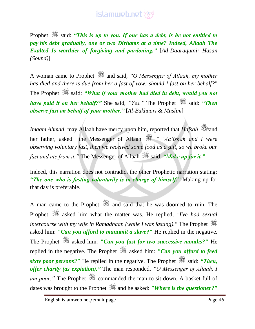Prophet  $\mathcal{H}$  said: *"This is up to you. If one has a debt, is he not entitled to pay his debt gradually, one or two Dirhams at a time? Indeed, Allaah The Exalted Is worthier of forgiving and pardoning."* [*Ad-Daaraqutni: Hasan (Sound)*]

A woman came to Prophet and said, *"O Messenger of Allaah, my mother has died and there is due from her a fast of vow; should I fast on her behalf?*" The Prophet  $\frac{360}{250}$  said: *"What if your mother had died in debt, would you not have paid it on her behalf?*" She said, "Yes." The Prophet said: "Then *observe fast on behalf of your mother."* [*Al-Bukhaari* & *Muslim*]

*Imaam Ahmad*, may Allaah have mercy upon him, reported that *Hafsah* and her father, asked the Messenger of Allaah **is the** *'Aa'ishah and I were observing voluntary fast, then we received some food as a gift, so we broke our fast and ate from it.*" The Messenger of Allaah  $\frac{1}{25}$  said: *"Make up for it.*"

Indeed, this narration does not contradict the other Prophetic narration stating: *"The one who is fasting voluntarily is in charge of himself."* Making up for that day is preferable.

A man came to the Prophet  $\frac{360}{25}$  and said that he was doomed to ruin. The Prophet asked him what the matter was. He replied, *"I've had sexual intercourse with my wife in Ramadhaan (while I was fasting)."* The Prophet asked him: *"Can you afford to manumit a slave?"* He replied in the negative. The Prophet  $\frac{360}{260}$  asked him: *"Can you fast for two successive months?"* He replied in the negative. The Prophet  $\frac{366}{26}$  asked him: *"Can you afford to feed sixty poor persons?"* He replied in the negative. The Prophet is said: "Then, *offer charity (as expiation)."* The man responded, *"O Messenger of Allaah, I am poor.*" The Prophet  $\frac{360}{200}$  commanded the man to sit down. A basket full of dates was brought to the Prophet <sup>35</sup>% and he asked: *"Where is the questioner?"*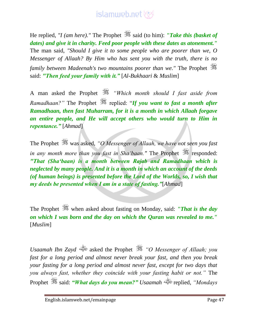He replied, *''I (am here)*.'' The Prophet  $\frac{36}{25}$  said (to him): *''Take this (basket of dates) and give it in charity. Feed poor people with these dates as atonement."* The man said, *"Should I give it to some people who are poorer than we, O Messenger of Allaah? By Him who has sent you with the truth, there is no family between Madeenah's two mountains poorer than we."* The Prophet said: *"Then feed your family with it."* [*Al-Bukhaari* & *Muslim*]

A man asked the Prophet *"Which month should I fast aside from Ramadhaan?"* The Prophet  $\frac{360}{100}$  replied: "*If you want to fast a month after Ramadhaan, then fast Muharram, for it is a month in which Allaah forgave an entire people, and He will accept others who would turn to Him in repentance."* [*Ahmad*]

The Prophet was asked, *"O Messenger of Allaah, we have not seen you fast in any month more than you fast in Sha'baan.*" The Prophet  $\frac{1}{25}$  responded: *"That (Sha'baan) is a month between Rajab and Ramadhaan which is neglected by many people. And it is a month in which an account of the deeds (of human beings) is presented before the Lord of the Worlds, so, I wish that my deeds be presented when I am in a state of fasting."*[*Ahmad*]

The Prophet when asked about fasting on Monday, said: *"That is the day on which I was born and the day on which the Quran was revealed to me."*  [*Muslim*]

*Usaamah Ibn Zayd* asked the Prophet *"O Messenger of Allaah; you fast for a long period and almost never break your fast, and then you break your fasting for a long period and almost never fast, except for two days that you always fast, whether they coincide with your fasting habit or not."* The Prophet said: *"What days do you mean?" Usaamah* replied, *"Mondays*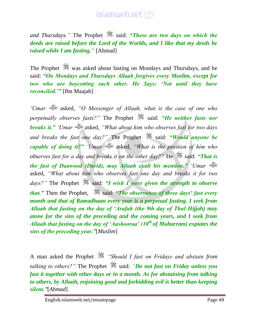*and Thursdays.*" The Prophet  $\frac{36}{20}$  said: **"These are two days on which the** *deeds are raised before the Lord of the Worlds, and I like that my deeds be raised while I am fasting."* [Ahmad]

The Prophet was asked about fasting on Mondays and Thursdays, and he said: *"On Mondays and Thursdays Allaah forgives every Muslim, except for two who are boycotting each other. He Says: 'Not until they have reconciled.'"* [Ibn Maajah]

*'Umar* asked, *"O Messenger of Allaah, what is the case of one who perpetually observes fasts?*" The Prophet  $\frac{36}{25}$  said: "*He neither fasts nor breaks it." 'Umar* asked, *"What about him who observes fast for two days and breaks the fast one day?*" The Prophet is said: *"Would anyone be capable of doing it?" 'Umar* asked, *"What is the position of him who observes fast for a day and breaks it on the other day?"* He  $\frac{1}{2}$  said: "That is *the fast of Daawood (David), may Allaah exalt his mention." 'Umar* asked, *"What about him who observes fast one day and breaks it for two days?"* The Prophet  $\frac{36}{25}$  said: *"I wish I were given the strength to observe that.*" Then the Prophet, is said: "The observance of three days' fast every *month and that of Ramadhaan every year is a perpetual fasting. I seek from Allaah that fasting on the day of 'Arafah (the 9th day of Thul-Hijjah) may atone for the sins of the preceding and the coming years, and I seek from Allaah that fasting on the day of 'Aashooraa' (10th of Muharram) expiates the sins of the preceding year."*[*Muslim*]

A man asked the Prophet *"Should I fast on Fridays and abstain from talking to others?*" The Prophet  $\ddot{\mathscr{E}}$  said: "*Do not fast on Friday unless you fast it together with other days or in a month. As for abstaining from talking to others, by Allaah, enjoining good and forbidding evil is better than keeping silent."*[*Ahmad*]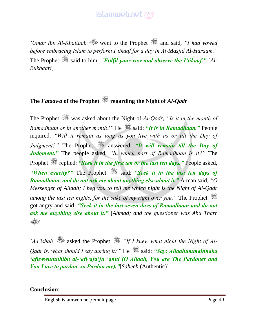

*'Umar Ibn Al-Khattaab* went to the Prophet  $\mathbb{R}$  and said, *'I had vowed before embracing Islam to perform I'tikaaf for a day in Al-Masjid Al-Haraam."*  The Prophet  $\ddot{\mathscr{F}}$  said to him: *"Fulfil your vow and observe the I'tikaaf."* [Al-*Bukhaari*]

#### **The** *Fataawa* **of the Prophet regarding the Night of** *Al-Qadr*

The Prophet  $\frac{36}{25}$  was asked about the Night of *Al-Qadr*, "Is it in the month of *Ramadhaan or in another month?"* He  $\mathcal{L}$  said: "It is in Ramadhaan." People inquired, *"Will it remain as long as you live with us or till the Day of Judgment?"* The Prophet **All The Suppose** answered: "It will remain till the Day of *Judgment."* The people asked, *"In which part of Ramadhaan is it?"* The Prophet *s* replied: *"Seek it in the first ten or the last ten days.*" People asked, *"When exactly?"* The Prophet  $\frac{36}{100}$  said: "Seek it in the last ten days of *Ramadhaan, and do not ask me about anything else about it."* A man said, *"O Messenger of Allaah; I beg you to tell me which night is the Night of Al-Qadr among the last ten nights, for the sake of my right over you.*" The Prophet got angry and said: *"Seek it in the last seven days of Ramadhaan and do not ask me anything else about it."* [*Ahmad; and the questioner was Abu Tharr* رياباني.<br>الصوتينية

*'Aa'ishah* asked the Prophet *"If I knew what night the Night of Al-Qadr is, what should I say during it?*" He  $\frac{1}{28}$  said: "Say: Allaahummainnaka *'afuwwuntuhibu al-'afwafa'fu 'anni (O Allaah, You are The Pardoner and You Love to pardon, so Pardon me)."*[*Saheeh* (Authentic)]

**Conclusion**:

English.islamweb.net/emainpage Page 49